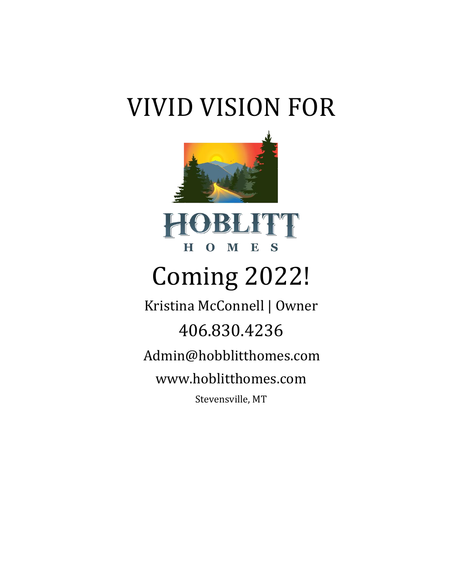## VIVID VISION FOR



# Coming 2022!

Kristina McConnell | Owner 406.830.4236 Admin@hobblitthomes.com [www.hoblitthomes.com](http://www.hoblitthomes.com/) Stevensville, MT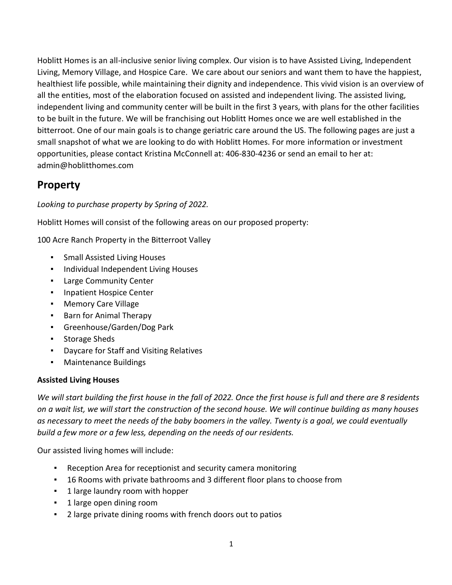Hoblitt Homes is an all-inclusive senior living complex. Our vision is to have Assisted Living, Independent Living, Memory Village, and Hospice Care. We care about our seniors and want them to have the happiest, healthiest life possible, while maintaining their dignity and independence. This vivid vision is an overview of all the entities, most of the elaboration focused on assisted and independent living. The assisted living, independent living and community center will be built in the first 3 years, with plans for the other facilities to be built in the future. We will be franchising out Hoblitt Homes once we are well established in the bitterroot. One of our main goals is to change geriatric care around the US. The following pages are just a small snapshot of what we are looking to do with Hoblitt Homes. For more information or investment opportunities, please contact Kristina McConnell at: 406-830-4236 or send an email to her at: admin@hoblitthomes.com

## **Property**

*Looking to purchase property by Spring of 2022.*

Hoblitt Homes will consist of the following areas on our proposed property:

100 Acre Ranch Property in the Bitterroot Valley

- Small Assisted Living Houses
- Individual Independent Living Houses
- **Large Community Center**
- Inpatient Hospice Center
- **Memory Care Village**
- Barn for Animal Therapy
- Greenhouse/Garden/Dog Park
- Storage Sheds
- Daycare for Staff and Visiting Relatives
- Maintenance Buildings

#### **Assisted Living Houses**

We will start building the first house in the fall of 2022. Once the first house is full and there are 8 residents *on a wait list, we will start the construction of the second house. We will continue building as many houses as necessary to meet the needs of the baby boomers in the valley. Twenty is a goal, we could eventually build a few more or a few less, depending on the needs of our residents.*

Our assisted living homes will include:

- Reception Area for receptionist and security camera monitoring
- 16 Rooms with private bathrooms and 3 different floor plans to choose from
- **•** 1 large laundry room with hopper
- 1 large open dining room
- 2 large private dining rooms with french doors out to patios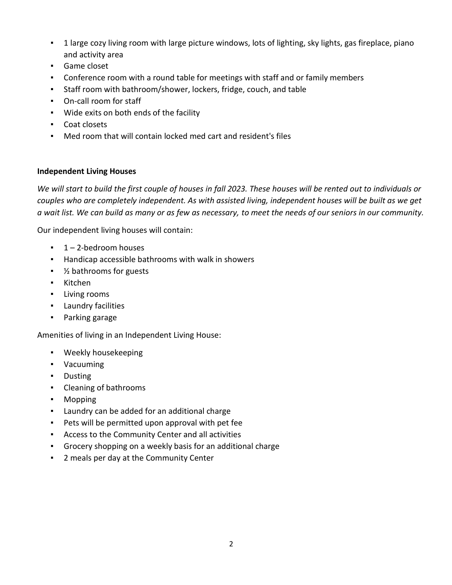- 1 large cozy living room with large picture windows, lots of lighting, sky lights, gas fireplace, piano and activity area
- Game closet
- Conference room with a round table for meetings with staff and or family members
- Staff room with bathroom/shower, lockers, fridge, couch, and table
- On-call room for staff
- Wide exits on both ends of the facility
- Coat closets
- Med room that will contain locked med cart and resident's files

#### **Independent Living Houses**

*We will start to build the first couple of houses in fall 2023. These houses will be rented out to individuals or couples who are completely independent. As with assisted living, independent houses will be built as we get a wait list. We can build as many or as few as necessary, to meet the needs of our seniors in our community.*

Our independent living houses will contain:

- $\blacksquare$  1 2-bedroom houses
- Handicap accessible bathrooms with walk in showers
- <sup>1</sup>⁄<sub>2</sub> bathrooms for guests
- Kitchen
- Living rooms
- Laundry facilities
- Parking garage

Amenities of living in an Independent Living House:

- Weekly housekeeping
- Vacuuming
- Dusting
- Cleaning of bathrooms
- Mopping
- Laundry can be added for an additional charge
- Pets will be permitted upon approval with pet fee
- Access to the Community Center and all activities
- Grocery shopping on a weekly basis for an additional charge
- 2 meals per day at the Community Center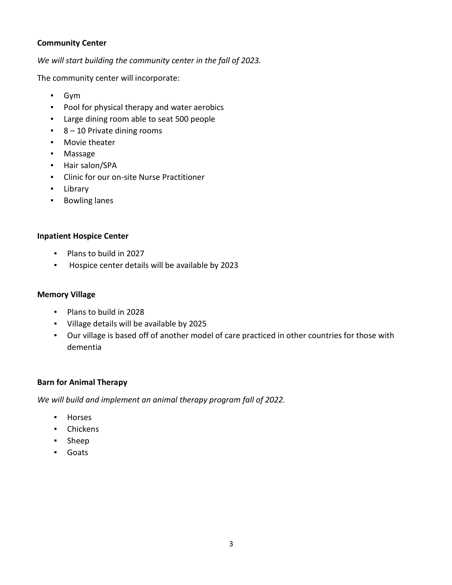#### **Community Center**

*We will start building the community center in the fall of 2023.*

The community center will incorporate:

- Gym
- Pool for physical therapy and water aerobics
- Large dining room able to seat 500 people
- 8 10 Private dining rooms
- Movie theater
- Massage
- Hair salon/SPA
- Clinic for our on-site Nurse Practitioner
- Library
- Bowling lanes

#### **Inpatient Hospice Center**

- Plans to build in 2027
- Hospice center details will be available by 2023

#### **Memory Village**

- Plans to build in 2028
- Village details will be available by 2025
- Our village is based off of another model of care practiced in other countries for those with dementia

#### **Barn for Animal Therapy**

*We will build and implement an animal therapy program fall of 2022.*

- Horses
- Chickens
- Sheep
- Goats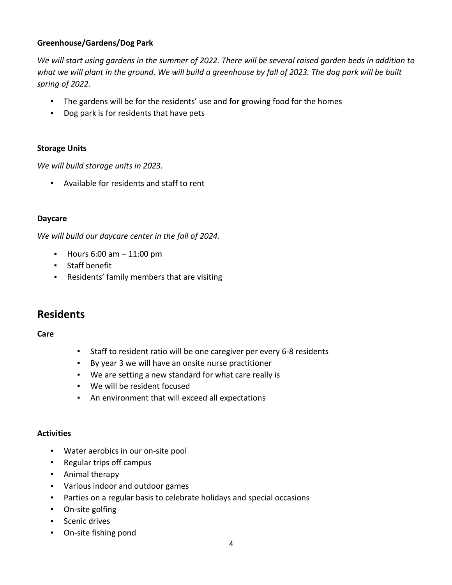#### **Greenhouse/Gardens/Dog Park**

*We will start using gardens in the summer of 2022. There will be several raised garden beds in addition to what we will plant in the ground. We will build a greenhouse by fall of 2023. The dog park will be built spring of 2022.*

- The gardens will be for the residents' use and for growing food for the homes
- Dog park is for residents that have pets

#### **Storage Units**

*We will build storage units in 2023.*

▪ Available for residents and staff to rent

#### **Daycare**

*We will build our daycare center in the fall of 2024.*

- $\blacksquare$  Hours 6:00 am  $-$  11:00 pm
- Staff benefit
- Residents' family members that are visiting

### **Residents**

**Care**

- Staff to resident ratio will be one caregiver per every 6-8 residents
- By year 3 we will have an onsite nurse practitioner
- We are setting a new standard for what care really is
- We will be resident focused
- An environment that will exceed all expectations

#### **Activities**

- Water aerobics in our on-site pool
- Regular trips off campus
- Animal therapy
- Various indoor and outdoor games
- Parties on a regular basis to celebrate holidays and special occasions
- On-site golfing
- Scenic drives
- On-site fishing pond